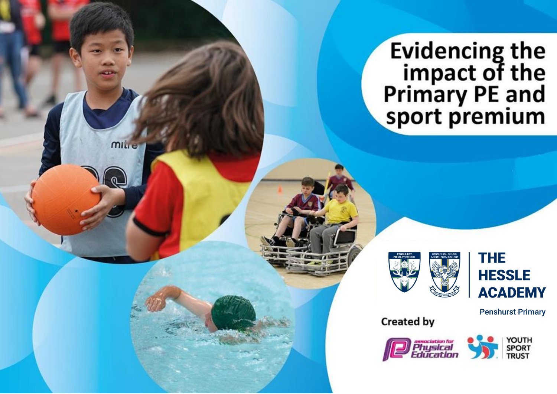Evidencing the<br>impact of the<br>Primary PE and<br>sport premium





Penshurst Primary

**Created by** 

mille

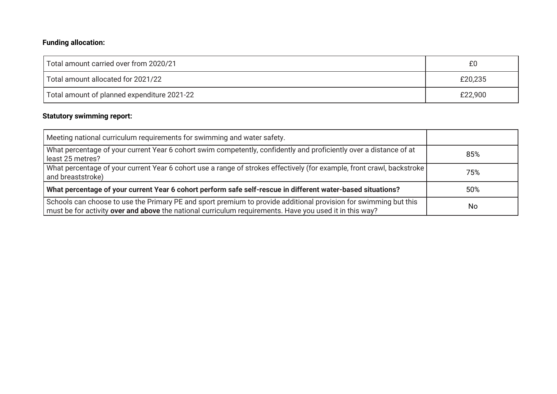## **Funding allocation:**

| Total amount carried over from 2020/21      | £0      |  |  |
|---------------------------------------------|---------|--|--|
| Total amount allocated for 2021/22          | £20,235 |  |  |
| Total amount of planned expenditure 2021-22 | £22,900 |  |  |

## **Statutory swimming report:**

| Meeting national curriculum requirements for swimming and water safety.                                                                                                                                                     |     |
|-----------------------------------------------------------------------------------------------------------------------------------------------------------------------------------------------------------------------------|-----|
| What percentage of your current Year 6 cohort swim competently, confidently and proficiently over a distance of at<br>least 25 metres?                                                                                      | 85% |
| What percentage of your current Year 6 cohort use a range of strokes effectively (for example, front crawl, backstroke<br>and breaststroke)                                                                                 | 75% |
| What percentage of your current Year 6 cohort perform safe self-rescue in different water-based situations?                                                                                                                 | 50% |
| Schools can choose to use the Primary PE and sport premium to provide additional provision for swimming but this<br>must be for activity over and above the national curriculum requirements. Have you used it in this way? | No  |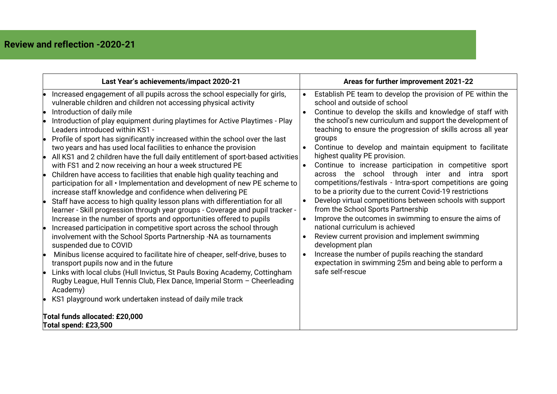| Last Year's achievements/impact 2020-21                                                                                                                                                                                                                                                                                                                                                                                                                                                                                                                                                                                                                                                                                                                                                                                                                                                                                                                                                                                                                                                                                                                                                                                                                                                                                                                                                                                                               |                                     | Areas for further improvement 2021-22                                                                                                                                                                                                                                                                                                                                                                                                                                                                                                                                                                                                                                                                                                                                                                                                                                                                                                                                                                                                                    |  |  |
|-------------------------------------------------------------------------------------------------------------------------------------------------------------------------------------------------------------------------------------------------------------------------------------------------------------------------------------------------------------------------------------------------------------------------------------------------------------------------------------------------------------------------------------------------------------------------------------------------------------------------------------------------------------------------------------------------------------------------------------------------------------------------------------------------------------------------------------------------------------------------------------------------------------------------------------------------------------------------------------------------------------------------------------------------------------------------------------------------------------------------------------------------------------------------------------------------------------------------------------------------------------------------------------------------------------------------------------------------------------------------------------------------------------------------------------------------------|-------------------------------------|----------------------------------------------------------------------------------------------------------------------------------------------------------------------------------------------------------------------------------------------------------------------------------------------------------------------------------------------------------------------------------------------------------------------------------------------------------------------------------------------------------------------------------------------------------------------------------------------------------------------------------------------------------------------------------------------------------------------------------------------------------------------------------------------------------------------------------------------------------------------------------------------------------------------------------------------------------------------------------------------------------------------------------------------------------|--|--|
| Increased engagement of all pupils across the school especially for girls,<br>vulnerable children and children not accessing physical activity<br>Introduction of daily mile<br>Introduction of play equipment during playtimes for Active Playtimes - Play<br>Leaders introduced within KS1 -<br>Profile of sport has significantly increased within the school over the last<br>two years and has used local facilities to enhance the provision<br>All KS1 and 2 children have the full daily entitlement of sport-based activities<br>with FS1 and 2 now receiving an hour a week structured PE<br>Children have access to facilities that enable high quality teaching and<br>participation for all • Implementation and development of new PE scheme to<br>increase staff knowledge and confidence when delivering PE<br>Staff have access to high quality lesson plans with differentiation for all<br>learner - Skill progression through year groups - Coverage and pupil tracker -<br>Increase in the number of sports and opportunities offered to pupils<br>Increased participation in competitive sport across the school through<br>involvement with the School Sports Partnership -NA as tournaments<br>suspended due to COVID<br>Minibus license acquired to facilitate hire of cheaper, self-drive, buses to<br>transport pupils now and in the future<br>Links with local clubs (Hull Invictus, St Pauls Boxing Academy, Cottingham | $\bullet$<br>$\bullet$<br>$\bullet$ | Establish PE team to develop the provision of PE within the<br>school and outside of school<br>Continue to develop the skills and knowledge of staff with<br>the school's new curriculum and support the development of<br>teaching to ensure the progression of skills across all year<br>groups<br>Continue to develop and maintain equipment to facilitate<br>highest quality PE provision.<br>Continue to increase participation in competitive sport<br>across the school through inter and intra<br>sport<br>competitions/festivals - Intra-sport competitions are going<br>to be a priority due to the current Covid-19 restrictions<br>Develop virtual competitions between schools with support<br>from the School Sports Partnership<br>Improve the outcomes in swimming to ensure the aims of<br>national curriculum is achieved<br>Review current provision and implement swimming<br>development plan<br>Increase the number of pupils reaching the standard<br>expectation in swimming 25m and being able to perform a<br>safe self-rescue |  |  |
| Rugby League, Hull Tennis Club, Flex Dance, Imperial Storm - Cheerleading<br>Academy)<br>KS1 playground work undertaken instead of daily mile track                                                                                                                                                                                                                                                                                                                                                                                                                                                                                                                                                                                                                                                                                                                                                                                                                                                                                                                                                                                                                                                                                                                                                                                                                                                                                                   |                                     |                                                                                                                                                                                                                                                                                                                                                                                                                                                                                                                                                                                                                                                                                                                                                                                                                                                                                                                                                                                                                                                          |  |  |
| Total funds allocated: £20,000<br>Total spend: £23,500                                                                                                                                                                                                                                                                                                                                                                                                                                                                                                                                                                                                                                                                                                                                                                                                                                                                                                                                                                                                                                                                                                                                                                                                                                                                                                                                                                                                |                                     |                                                                                                                                                                                                                                                                                                                                                                                                                                                                                                                                                                                                                                                                                                                                                                                                                                                                                                                                                                                                                                                          |  |  |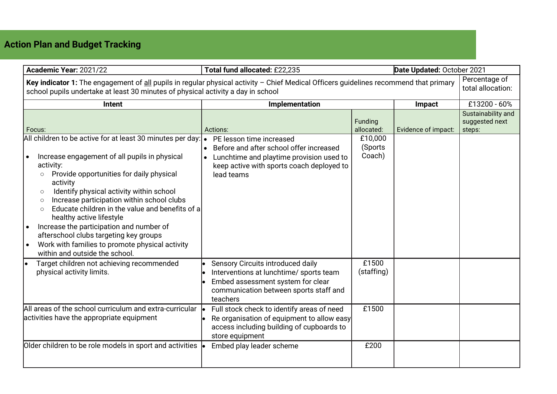## **Action Plan and Budget Tracking**

| Academic Year: 2021/22<br>Total fund allocated: £22,235                                                                                                                                                                                                                                                                                                                                                                                                                                                                         |                                                                                                                                                                         | Date Updated: October 2021       |                     |                                                |  |
|---------------------------------------------------------------------------------------------------------------------------------------------------------------------------------------------------------------------------------------------------------------------------------------------------------------------------------------------------------------------------------------------------------------------------------------------------------------------------------------------------------------------------------|-------------------------------------------------------------------------------------------------------------------------------------------------------------------------|----------------------------------|---------------------|------------------------------------------------|--|
| Percentage of<br>Key indicator 1: The engagement of all pupils in regular physical activity $-$ Chief Medical Officers guidelines recommend that primary<br>total allocation:<br>school pupils undertake at least 30 minutes of physical activity a day in school                                                                                                                                                                                                                                                               |                                                                                                                                                                         |                                  |                     |                                                |  |
| Intent                                                                                                                                                                                                                                                                                                                                                                                                                                                                                                                          | Implementation                                                                                                                                                          |                                  | Impact              | £13200 - 60%                                   |  |
| Focus:<br>All children to be active for at least 30 minutes per day: •                                                                                                                                                                                                                                                                                                                                                                                                                                                          | Actions:<br>PE lesson time increased                                                                                                                                    | Funding<br>allocated:<br>£10,000 | Evidence of impact: | Sustainability and<br>suggested next<br>steps: |  |
| Increase engagement of all pupils in physical<br>activity:<br>Provide opportunities for daily physical<br>$\circ$<br>activity<br>Identify physical activity within school<br>$\circ$<br>Increase participation within school clubs<br>$\circ$<br>Educate children in the value and benefits of a<br>$\circ$<br>healthy active lifestyle<br>Increase the participation and number of<br>afterschool clubs targeting key groups<br>Work with families to promote physical activity<br>$\bullet$<br>within and outside the school. | Before and after school offer increased<br>Lunchtime and playtime provision used to<br>keep active with sports coach deployed to<br>lead teams                          | (Sports<br>Coach)                |                     |                                                |  |
| Target children not achieving recommended<br>physical activity limits.                                                                                                                                                                                                                                                                                                                                                                                                                                                          | Sensory Circuits introduced daily<br>Interventions at lunchtime/ sports team<br>Embed assessment system for clear<br>communication between sports staff and<br>teachers | £1500<br>(staffing)              |                     |                                                |  |
| All areas of the school curriculum and extra-curricular<br>activities have the appropriate equipment                                                                                                                                                                                                                                                                                                                                                                                                                            | Full stock check to identify areas of need<br>Re organisation of equipment to allow easy<br>access including building of cupboards to<br>store equipment                | £1500                            |                     |                                                |  |
| Older children to be role models in sport and activities                                                                                                                                                                                                                                                                                                                                                                                                                                                                        | Embed play leader scheme                                                                                                                                                | £200                             |                     |                                                |  |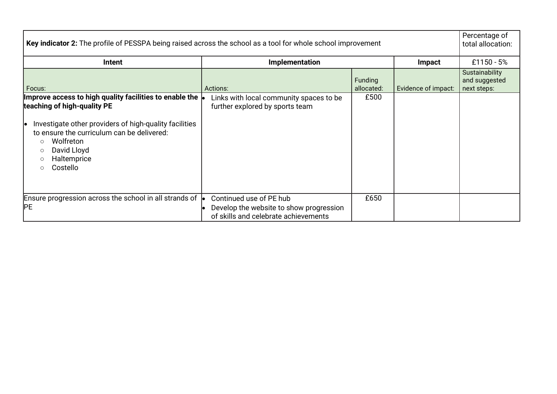| Key indicator 2: The profile of PESSPA being raised across the school as a tool for whole school improvement                                                                                                                                                         |                                                                                                            |                       |                     |                                                |
|----------------------------------------------------------------------------------------------------------------------------------------------------------------------------------------------------------------------------------------------------------------------|------------------------------------------------------------------------------------------------------------|-----------------------|---------------------|------------------------------------------------|
| Intent                                                                                                                                                                                                                                                               | Implementation<br><b>Impact</b>                                                                            |                       |                     | £1150 - $5%$                                   |
| Focus:                                                                                                                                                                                                                                                               | Actions:                                                                                                   | Funding<br>allocated: | Evidence of impact: | Sustainability<br>and suggested<br>next steps: |
| Improve access to high quality facilities to enable the $ $<br>teaching of high-quality PE<br>Investigate other providers of high-quality facilities<br>to ensure the curriculum can be delivered:<br>Wolfreton<br>$\circ$<br>David Lloyd<br>Haltemprice<br>Costello | Links with local community spaces to be<br>further explored by sports team                                 | £500                  |                     |                                                |
| Ensure progression across the school in all strands of $\vert \bullet \vert$<br>IРE                                                                                                                                                                                  | Continued use of PE hub<br>Develop the website to show progression<br>of skills and celebrate achievements | £650                  |                     |                                                |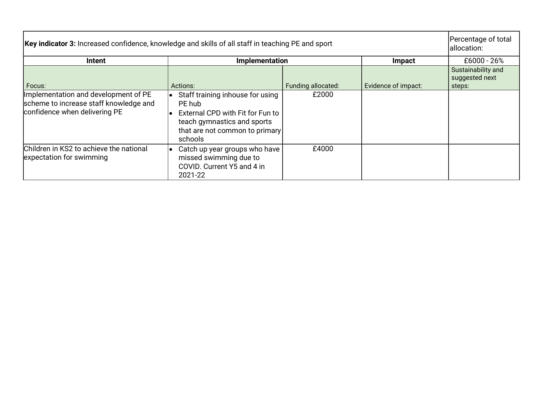| Key indicator 3: Increased confidence, knowledge and skills of all staff in teaching PE and sport               |                                                                                                                                                                   |                    |                     |                                                |  |
|-----------------------------------------------------------------------------------------------------------------|-------------------------------------------------------------------------------------------------------------------------------------------------------------------|--------------------|---------------------|------------------------------------------------|--|
| Intent                                                                                                          | Implementation                                                                                                                                                    |                    | Impact              | £6000 - 26%                                    |  |
| Focus:                                                                                                          | Actions:                                                                                                                                                          | Funding allocated: | Evidence of impact: | Sustainability and<br>suggested next<br>steps: |  |
| Implementation and development of PE<br>scheme to increase staff knowledge and<br>confidence when delivering PE | Staff training inhouse for using<br>le.<br>PE hub<br>External CPD with Fit for Fun to<br>teach gymnastics and sports<br>that are not common to primary<br>schools | £2000              |                     |                                                |  |
| Children in KS2 to achieve the national<br>expectation for swimming                                             | Catch up year groups who have<br>le.<br>missed swimming due to<br>COVID. Current Y5 and 4 in<br>2021-22                                                           | £4000              |                     |                                                |  |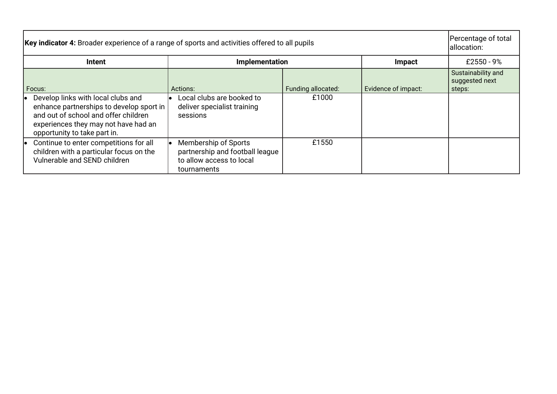| Key indicator 4: Broader experience of a range of sports and activities offered to all pupils |                                                                                                                                                                                                |                                                                                                    |                    |                     |                                                |
|-----------------------------------------------------------------------------------------------|------------------------------------------------------------------------------------------------------------------------------------------------------------------------------------------------|----------------------------------------------------------------------------------------------------|--------------------|---------------------|------------------------------------------------|
|                                                                                               | <b>Intent</b><br>Implementation                                                                                                                                                                |                                                                                                    |                    | Impact              | £2550 - $9\%$                                  |
|                                                                                               | Focus:                                                                                                                                                                                         | Actions:                                                                                           | Funding allocated: | Evidence of impact: | Sustainability and<br>suggested next<br>steps: |
|                                                                                               | Develop links with local clubs and<br>enhance partnerships to develop sport in<br>and out of school and offer children<br>experiences they may not have had an<br>opportunity to take part in. | Local clubs are booked to<br>deliver specialist training<br>sessions                               | £1000              |                     |                                                |
| le                                                                                            | Continue to enter competitions for all<br>children with a particular focus on the<br>Vulnerable and SEND children                                                                              | Membership of Sports<br>partnership and football league<br>to allow access to local<br>tournaments | £1550              |                     |                                                |